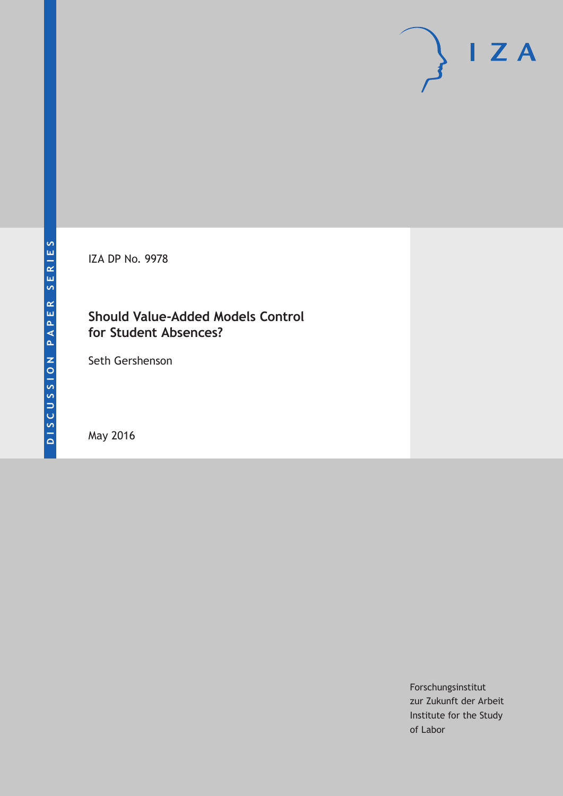IZA DP No. 9978

# **Should Value-Added Models Control for Student Absences?**

Seth Gershenson

May 2016

Forschungsinstitut zur Zukunft der Arbeit Institute for the Study of Labor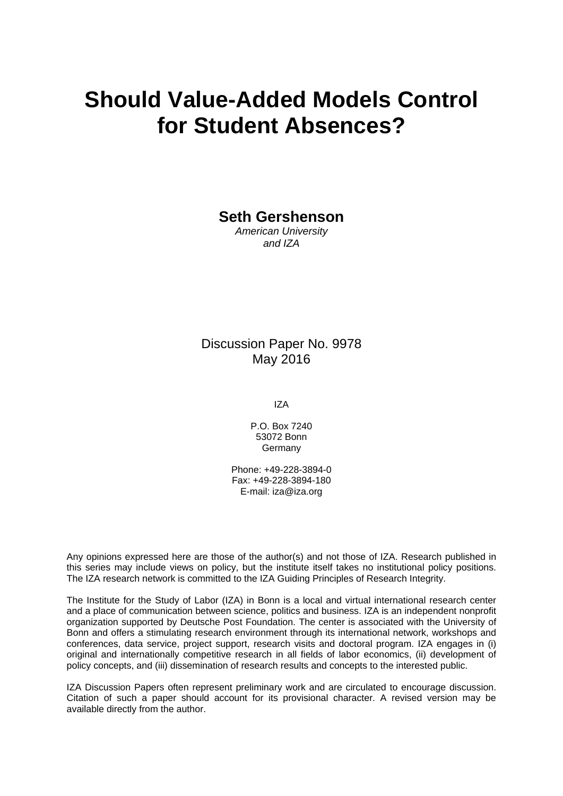# **Should Value-Added Models Control for Student Absences?**

**Seth Gershenson** 

*American University and IZA* 

### Discussion Paper No. 9978 May 2016

IZA

P.O. Box 7240 53072 Bonn Germany

Phone: +49-228-3894-0 Fax: +49-228-3894-180 E-mail: iza@iza.org

Any opinions expressed here are those of the author(s) and not those of IZA. Research published in this series may include views on policy, but the institute itself takes no institutional policy positions. The IZA research network is committed to the IZA Guiding Principles of Research Integrity.

The Institute for the Study of Labor (IZA) in Bonn is a local and virtual international research center and a place of communication between science, politics and business. IZA is an independent nonprofit organization supported by Deutsche Post Foundation. The center is associated with the University of Bonn and offers a stimulating research environment through its international network, workshops and conferences, data service, project support, research visits and doctoral program. IZA engages in (i) original and internationally competitive research in all fields of labor economics, (ii) development of policy concepts, and (iii) dissemination of research results and concepts to the interested public.

IZA Discussion Papers often represent preliminary work and are circulated to encourage discussion. Citation of such a paper should account for its provisional character. A revised version may be available directly from the author.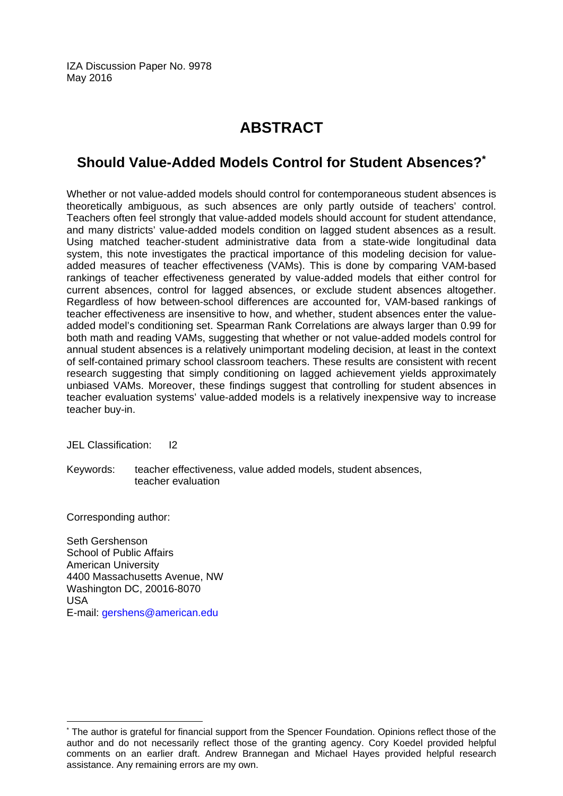IZA Discussion Paper No. 9978 May 2016

# **ABSTRACT**

# **Should Value-Added Models Control for Student Absences?\***

Whether or not value-added models should control for contemporaneous student absences is theoretically ambiguous, as such absences are only partly outside of teachers' control. Teachers often feel strongly that value-added models should account for student attendance, and many districts' value-added models condition on lagged student absences as a result. Using matched teacher-student administrative data from a state-wide longitudinal data system, this note investigates the practical importance of this modeling decision for valueadded measures of teacher effectiveness (VAMs). This is done by comparing VAM-based rankings of teacher effectiveness generated by value-added models that either control for current absences, control for lagged absences, or exclude student absences altogether. Regardless of how between-school differences are accounted for, VAM-based rankings of teacher effectiveness are insensitive to how, and whether, student absences enter the valueadded model's conditioning set. Spearman Rank Correlations are always larger than 0.99 for both math and reading VAMs, suggesting that whether or not value-added models control for annual student absences is a relatively unimportant modeling decision, at least in the context of self-contained primary school classroom teachers. These results are consistent with recent research suggesting that simply conditioning on lagged achievement yields approximately unbiased VAMs. Moreover, these findings suggest that controlling for student absences in teacher evaluation systems' value-added models is a relatively inexpensive way to increase teacher buy-in.

JEL Classification: I2

Keywords: teacher effectiveness, value added models, student absences, teacher evaluation

Corresponding author:

 $\overline{a}$ 

Seth Gershenson School of Public Affairs American University 4400 Massachusetts Avenue, NW Washington DC, 20016-8070 USA E-mail: gershens@american.edu

<sup>\*</sup> The author is grateful for financial support from the Spencer Foundation. Opinions reflect those of the author and do not necessarily reflect those of the granting agency. Cory Koedel provided helpful comments on an earlier draft. Andrew Brannegan and Michael Hayes provided helpful research assistance. Any remaining errors are my own.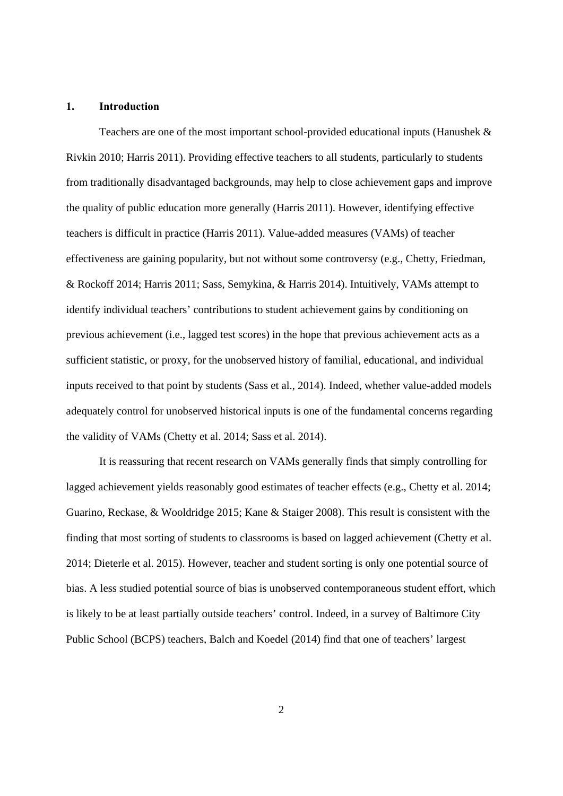#### **1. Introduction**

 Teachers are one of the most important school-provided educational inputs (Hanushek & Rivkin 2010; Harris 2011). Providing effective teachers to all students, particularly to students from traditionally disadvantaged backgrounds, may help to close achievement gaps and improve the quality of public education more generally (Harris 2011). However, identifying effective teachers is difficult in practice (Harris 2011). Value-added measures (VAMs) of teacher effectiveness are gaining popularity, but not without some controversy (e.g., Chetty, Friedman, & Rockoff 2014; Harris 2011; Sass, Semykina, & Harris 2014). Intuitively, VAMs attempt to identify individual teachers' contributions to student achievement gains by conditioning on previous achievement (i.e., lagged test scores) in the hope that previous achievement acts as a sufficient statistic, or proxy, for the unobserved history of familial, educational, and individual inputs received to that point by students (Sass et al., 2014). Indeed, whether value-added models adequately control for unobserved historical inputs is one of the fundamental concerns regarding the validity of VAMs (Chetty et al. 2014; Sass et al. 2014).

 It is reassuring that recent research on VAMs generally finds that simply controlling for lagged achievement yields reasonably good estimates of teacher effects (e.g., Chetty et al. 2014; Guarino, Reckase, & Wooldridge 2015; Kane & Staiger 2008). This result is consistent with the finding that most sorting of students to classrooms is based on lagged achievement (Chetty et al. 2014; Dieterle et al. 2015). However, teacher and student sorting is only one potential source of bias. A less studied potential source of bias is unobserved contemporaneous student effort, which is likely to be at least partially outside teachers' control. Indeed, in a survey of Baltimore City Public School (BCPS) teachers, Balch and Koedel (2014) find that one of teachers' largest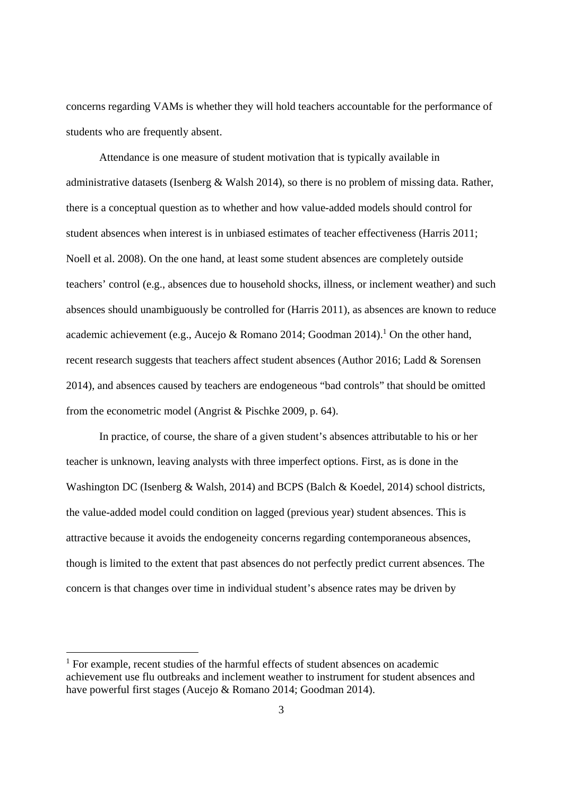concerns regarding VAMs is whether they will hold teachers accountable for the performance of students who are frequently absent.

Attendance is one measure of student motivation that is typically available in administrative datasets (Isenberg & Walsh 2014), so there is no problem of missing data. Rather, there is a conceptual question as to whether and how value-added models should control for student absences when interest is in unbiased estimates of teacher effectiveness (Harris 2011; Noell et al. 2008). On the one hand, at least some student absences are completely outside teachers' control (e.g., absences due to household shocks, illness, or inclement weather) and such absences should unambiguously be controlled for (Harris 2011), as absences are known to reduce academic achievement (e.g., Aucejo & Romano 2014; Goodman 2014).<sup>1</sup> On the other hand, recent research suggests that teachers affect student absences (Author 2016; Ladd & Sorensen 2014), and absences caused by teachers are endogeneous "bad controls" that should be omitted from the econometric model (Angrist & Pischke 2009, p. 64).

In practice, of course, the share of a given student's absences attributable to his or her teacher is unknown, leaving analysts with three imperfect options. First, as is done in the Washington DC (Isenberg & Walsh, 2014) and BCPS (Balch & Koedel, 2014) school districts, the value-added model could condition on lagged (previous year) student absences. This is attractive because it avoids the endogeneity concerns regarding contemporaneous absences, though is limited to the extent that past absences do not perfectly predict current absences. The concern is that changes over time in individual student's absence rates may be driven by

-

<sup>&</sup>lt;sup>1</sup> For example, recent studies of the harmful effects of student absences on academic achievement use flu outbreaks and inclement weather to instrument for student absences and have powerful first stages (Aucejo & Romano 2014; Goodman 2014).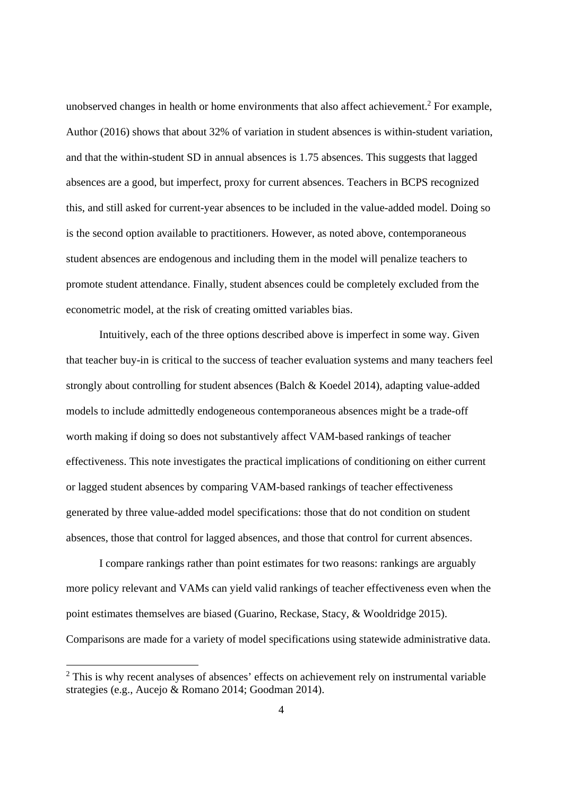unobserved changes in health or home environments that also affect achievement.<sup>2</sup> For example, Author (2016) shows that about 32% of variation in student absences is within-student variation, and that the within-student SD in annual absences is 1.75 absences. This suggests that lagged absences are a good, but imperfect, proxy for current absences. Teachers in BCPS recognized this, and still asked for current-year absences to be included in the value-added model. Doing so is the second option available to practitioners. However, as noted above, contemporaneous student absences are endogenous and including them in the model will penalize teachers to promote student attendance. Finally, student absences could be completely excluded from the econometric model, at the risk of creating omitted variables bias.

Intuitively, each of the three options described above is imperfect in some way. Given that teacher buy-in is critical to the success of teacher evaluation systems and many teachers feel strongly about controlling for student absences (Balch & Koedel 2014), adapting value-added models to include admittedly endogeneous contemporaneous absences might be a trade-off worth making if doing so does not substantively affect VAM-based rankings of teacher effectiveness. This note investigates the practical implications of conditioning on either current or lagged student absences by comparing VAM-based rankings of teacher effectiveness generated by three value-added model specifications: those that do not condition on student absences, those that control for lagged absences, and those that control for current absences.

I compare rankings rather than point estimates for two reasons: rankings are arguably more policy relevant and VAMs can yield valid rankings of teacher effectiveness even when the point estimates themselves are biased (Guarino, Reckase, Stacy, & Wooldridge 2015). Comparisons are made for a variety of model specifications using statewide administrative data.

-

 $2$  This is why recent analyses of absences' effects on achievement rely on instrumental variable strategies (e.g., Aucejo & Romano 2014; Goodman 2014).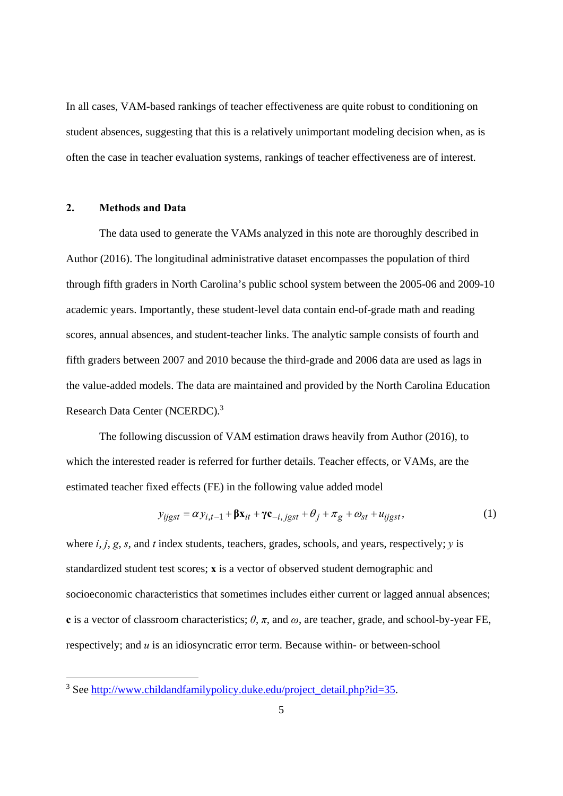In all cases, VAM-based rankings of teacher effectiveness are quite robust to conditioning on student absences, suggesting that this is a relatively unimportant modeling decision when, as is often the case in teacher evaluation systems, rankings of teacher effectiveness are of interest.

#### **2. Methods and Data**

-

 The data used to generate the VAMs analyzed in this note are thoroughly described in Author (2016). The longitudinal administrative dataset encompasses the population of third through fifth graders in North Carolina's public school system between the 2005-06 and 2009-10 academic years. Importantly, these student-level data contain end-of-grade math and reading scores, annual absences, and student-teacher links. The analytic sample consists of fourth and fifth graders between 2007 and 2010 because the third-grade and 2006 data are used as lags in the value-added models. The data are maintained and provided by the North Carolina Education Research Data Center (NCERDC).3

The following discussion of VAM estimation draws heavily from Author (2016), to which the interested reader is referred for further details. Teacher effects, or VAMs, are the estimated teacher fixed effects (FE) in the following value added model

$$
y_{ijgst} = \alpha y_{i,t-1} + \beta x_{it} + \gamma c_{-i,jgst} + \theta_j + \pi_g + \omega_{st} + u_{ijgst},
$$
(1)

where *i*, *j*, *g*, *s*, and *t* index students, teachers, grades, schools, and years, respectively; *y* is standardized student test scores; **x** is a vector of observed student demographic and socioeconomic characteristics that sometimes includes either current or lagged annual absences; **c** is a vector of classroom characteristics;  $\theta$ ,  $\pi$ , and  $\omega$ , are teacher, grade, and school-by-year FE, respectively; and *u* is an idiosyncratic error term. Because within- or between-school

<sup>&</sup>lt;sup>3</sup> See http://www.childandfamilypolicy.duke.edu/project\_detail.php?id=35.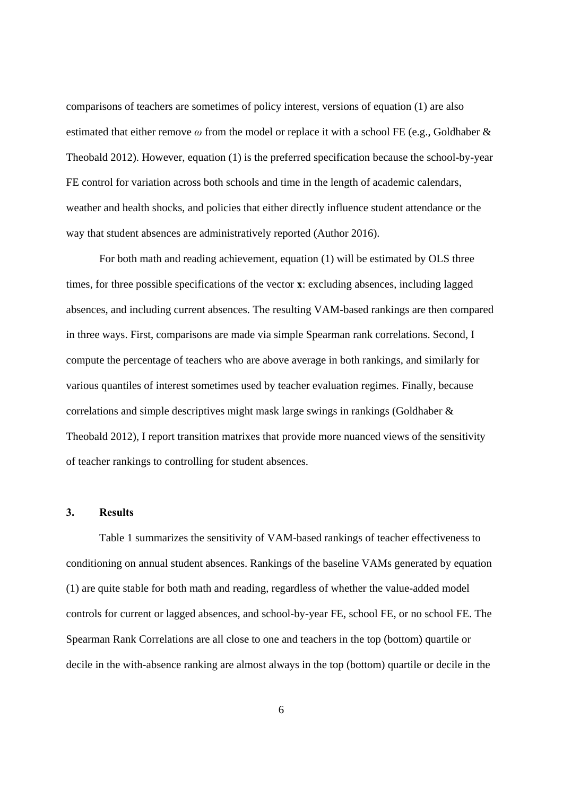comparisons of teachers are sometimes of policy interest, versions of equation (1) are also estimated that either remove *ω* from the model or replace it with a school FE (e.g., Goldhaber & Theobald 2012). However, equation (1) is the preferred specification because the school-by-year FE control for variation across both schools and time in the length of academic calendars, weather and health shocks, and policies that either directly influence student attendance or the way that student absences are administratively reported (Author 2016).

For both math and reading achievement, equation (1) will be estimated by OLS three times, for three possible specifications of the vector **x**: excluding absences, including lagged absences, and including current absences. The resulting VAM-based rankings are then compared in three ways. First, comparisons are made via simple Spearman rank correlations. Second, I compute the percentage of teachers who are above average in both rankings, and similarly for various quantiles of interest sometimes used by teacher evaluation regimes. Finally, because correlations and simple descriptives might mask large swings in rankings (Goldhaber & Theobald 2012), I report transition matrixes that provide more nuanced views of the sensitivity of teacher rankings to controlling for student absences.

#### **3. Results**

 Table 1 summarizes the sensitivity of VAM-based rankings of teacher effectiveness to conditioning on annual student absences. Rankings of the baseline VAMs generated by equation (1) are quite stable for both math and reading, regardless of whether the value-added model controls for current or lagged absences, and school-by-year FE, school FE, or no school FE. The Spearman Rank Correlations are all close to one and teachers in the top (bottom) quartile or decile in the with-absence ranking are almost always in the top (bottom) quartile or decile in the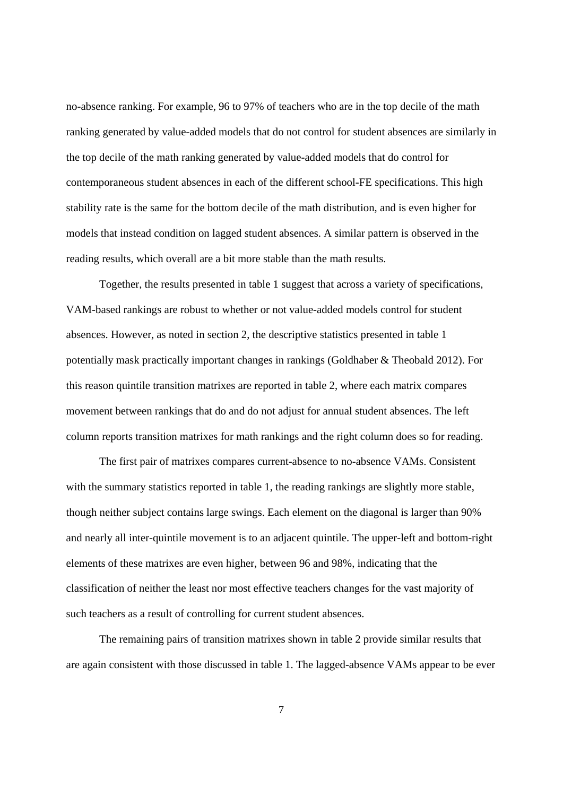no-absence ranking. For example, 96 to 97% of teachers who are in the top decile of the math ranking generated by value-added models that do not control for student absences are similarly in the top decile of the math ranking generated by value-added models that do control for contemporaneous student absences in each of the different school-FE specifications. This high stability rate is the same for the bottom decile of the math distribution, and is even higher for models that instead condition on lagged student absences. A similar pattern is observed in the reading results, which overall are a bit more stable than the math results.

Together, the results presented in table 1 suggest that across a variety of specifications, VAM-based rankings are robust to whether or not value-added models control for student absences. However, as noted in section 2, the descriptive statistics presented in table 1 potentially mask practically important changes in rankings (Goldhaber & Theobald 2012). For this reason quintile transition matrixes are reported in table 2, where each matrix compares movement between rankings that do and do not adjust for annual student absences. The left column reports transition matrixes for math rankings and the right column does so for reading.

The first pair of matrixes compares current-absence to no-absence VAMs. Consistent with the summary statistics reported in table 1, the reading rankings are slightly more stable, though neither subject contains large swings. Each element on the diagonal is larger than 90% and nearly all inter-quintile movement is to an adjacent quintile. The upper-left and bottom-right elements of these matrixes are even higher, between 96 and 98%, indicating that the classification of neither the least nor most effective teachers changes for the vast majority of such teachers as a result of controlling for current student absences.

The remaining pairs of transition matrixes shown in table 2 provide similar results that are again consistent with those discussed in table 1. The lagged-absence VAMs appear to be ever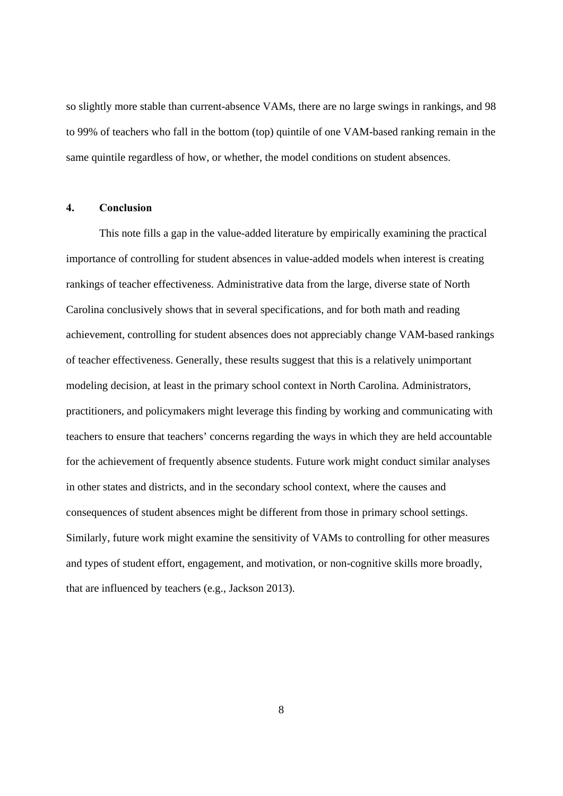so slightly more stable than current-absence VAMs, there are no large swings in rankings, and 98 to 99% of teachers who fall in the bottom (top) quintile of one VAM-based ranking remain in the same quintile regardless of how, or whether, the model conditions on student absences.

#### **4. Conclusion**

 This note fills a gap in the value-added literature by empirically examining the practical importance of controlling for student absences in value-added models when interest is creating rankings of teacher effectiveness. Administrative data from the large, diverse state of North Carolina conclusively shows that in several specifications, and for both math and reading achievement, controlling for student absences does not appreciably change VAM-based rankings of teacher effectiveness. Generally, these results suggest that this is a relatively unimportant modeling decision, at least in the primary school context in North Carolina. Administrators, practitioners, and policymakers might leverage this finding by working and communicating with teachers to ensure that teachers' concerns regarding the ways in which they are held accountable for the achievement of frequently absence students. Future work might conduct similar analyses in other states and districts, and in the secondary school context, where the causes and consequences of student absences might be different from those in primary school settings. Similarly, future work might examine the sensitivity of VAMs to controlling for other measures and types of student effort, engagement, and motivation, or non-cognitive skills more broadly, that are influenced by teachers (e.g., Jackson 2013).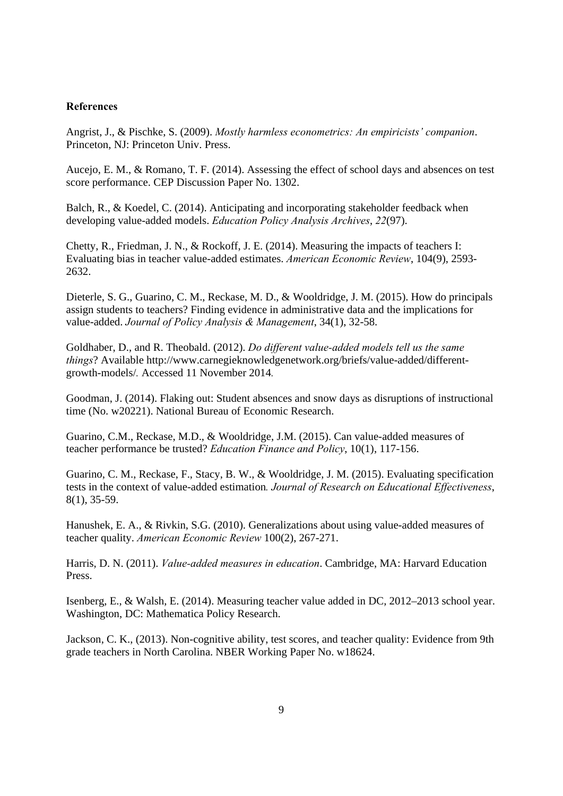#### **References**

Angrist, J., & Pischke, S. (2009). *Mostly harmless econometrics: An empiricists' companion*. Princeton, NJ: Princeton Univ. Press.

Aucejo, E. M., & Romano, T. F. (2014). Assessing the effect of school days and absences on test score performance. CEP Discussion Paper No. 1302.

Balch, R., & Koedel, C. (2014). Anticipating and incorporating stakeholder feedback when developing value-added models. *Education Policy Analysis Archives*, *22*(97).

Chetty, R., Friedman, J. N., & Rockoff, J. E. (2014). Measuring the impacts of teachers I: Evaluating bias in teacher value-added estimates. *American Economic Review*, 104(9), 2593- 2632.

Dieterle, S. G., Guarino, C. M., Reckase, M. D., & Wooldridge, J. M. (2015). How do principals assign students to teachers? Finding evidence in administrative data and the implications for value-added. *Journal of Policy Analysis & Management*, 34(1), 32-58.

Goldhaber, D., and R. Theobald. (2012). *Do different value-added models tell us the same things*? Available http://www.carnegieknowledgenetwork.org/briefs/value-added/differentgrowth-models/*.* Accessed 11 November 2014*.*

Goodman, J. (2014). Flaking out: Student absences and snow days as disruptions of instructional time (No. w20221). National Bureau of Economic Research.

Guarino, C.M., Reckase, M.D., & Wooldridge, J.M. (2015). Can value-added measures of teacher performance be trusted? *Education Finance and Policy*, 10(1), 117-156.

Guarino, C. M., Reckase, F., Stacy, B. W., & Wooldridge, J. M. (2015). Evaluating specification tests in the context of value-added estimation*. Journal of Research on Educational Effectiveness*, 8(1), 35-59.

Hanushek, E. A., & Rivkin, S.G. (2010). Generalizations about using value-added measures of teacher quality. *American Economic Review* 100(2), 267-271.

Harris, D. N. (2011). *Value-added measures in education*. Cambridge, MA: Harvard Education Press.

Isenberg, E., & Walsh, E. (2014). Measuring teacher value added in DC, 2012–2013 school year. Washington, DC: Mathematica Policy Research.

Jackson, C. K., (2013). Non-cognitive ability, test scores, and teacher quality: Evidence from 9th grade teachers in North Carolina. NBER Working Paper No. w18624.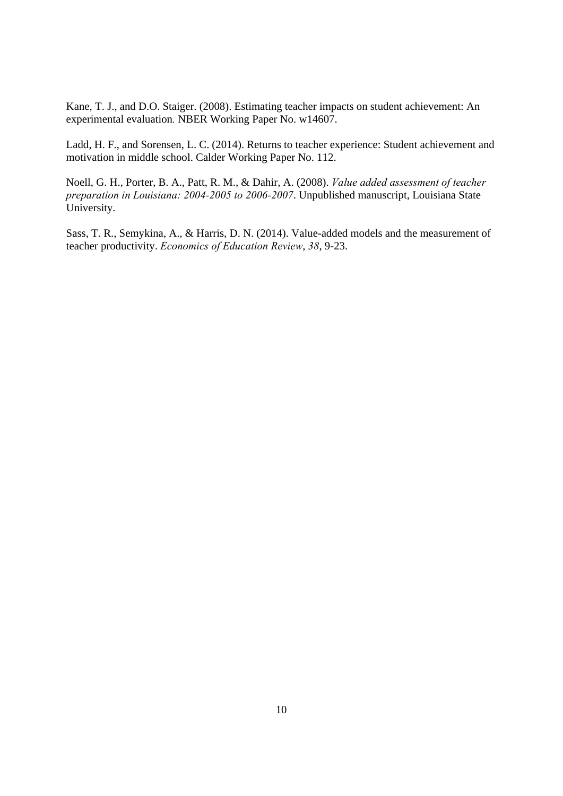Kane, T. J., and D.O. Staiger. (2008). Estimating teacher impacts on student achievement: An experimental evaluation*.* NBER Working Paper No. w14607.

Ladd, H. F., and Sorensen, L. C. (2014). Returns to teacher experience: Student achievement and motivation in middle school. Calder Working Paper No. 112.

Noell, G. H., Porter, B. A., Patt, R. M., & Dahir, A. (2008). *Value added assessment of teacher preparation in Louisiana: 2004-2005 to 2006-2007*. Unpublished manuscript, Louisiana State University.

Sass, T. R., Semykina, A., & Harris, D. N. (2014). Value-added models and the measurement of teacher productivity. *Economics of Education Review*, *38*, 9-23.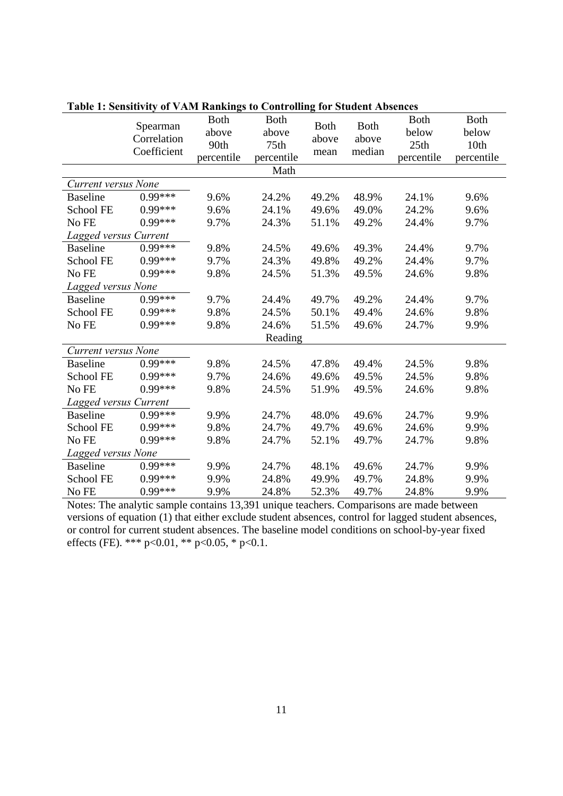|                       | Spearman<br>Correlation<br>Coefficient | <b>Both</b><br>above<br>90th<br>percentile | <b>Both</b><br>above<br>75 <sub>th</sub><br>percentile | <b>Both</b><br>above<br>mean | <b>Both</b><br>above<br>median | <b>Both</b><br>below<br>25th<br>percentile | <b>Both</b><br>below<br>10th<br>percentile |  |
|-----------------------|----------------------------------------|--------------------------------------------|--------------------------------------------------------|------------------------------|--------------------------------|--------------------------------------------|--------------------------------------------|--|
|                       |                                        |                                            | Math                                                   |                              |                                |                                            |                                            |  |
| Current versus None   |                                        |                                            |                                                        |                              |                                |                                            |                                            |  |
| <b>Baseline</b>       | $0.99***$                              | 9.6%                                       | 24.2%                                                  | 49.2%                        | 48.9%                          | 24.1%                                      | 9.6%                                       |  |
| School FE             | $0.99***$                              | 9.6%                                       | 24.1%                                                  | 49.6%                        | 49.0%                          | 24.2%                                      | 9.6%                                       |  |
| No FE                 | $0.99***$                              | 9.7%                                       | 24.3%                                                  | 51.1%                        | 49.2%                          | 24.4%                                      | 9.7%                                       |  |
| Lagged versus Current |                                        |                                            |                                                        |                              |                                |                                            |                                            |  |
| <b>Baseline</b>       | $0.99***$                              | 9.8%                                       | 24.5%                                                  | 49.6%                        | 49.3%                          | 24.4%                                      | 9.7%                                       |  |
| School FE             | $0.99***$                              | 9.7%                                       | 24.3%                                                  | 49.8%                        | 49.2%                          | 24.4%                                      | 9.7%                                       |  |
| No FE                 | $0.99***$                              | 9.8%                                       | 24.5%                                                  | 51.3%                        | 49.5%                          | 24.6%                                      | 9.8%                                       |  |
| Lagged versus None    |                                        |                                            |                                                        |                              |                                |                                            |                                            |  |
| <b>Baseline</b>       | $0.99***$                              | 9.7%                                       | 24.4%                                                  | 49.7%                        | 49.2%                          | 24.4%                                      | 9.7%                                       |  |
| School FE             | $0.99***$                              | 9.8%                                       | 24.5%                                                  | 50.1%                        | 49.4%                          | 24.6%                                      | 9.8%                                       |  |
| No FE                 | $0.99***$                              | 9.8%                                       | 24.6%                                                  | 51.5%                        | 49.6%                          | 24.7%                                      | 9.9%                                       |  |
|                       |                                        |                                            | Reading                                                |                              |                                |                                            |                                            |  |
| Current versus None   |                                        |                                            |                                                        |                              |                                |                                            |                                            |  |
| <b>Baseline</b>       | $0.99***$                              | 9.8%                                       | 24.5%                                                  | 47.8%                        | 49.4%                          | 24.5%                                      | 9.8%                                       |  |
| School FE             | $0.99***$                              | 9.7%                                       | 24.6%                                                  | 49.6%                        | 49.5%                          | 24.5%                                      | 9.8%                                       |  |
| No FE                 | $0.99***$                              | 9.8%                                       | 24.5%                                                  | 51.9%                        | 49.5%                          | 24.6%                                      | 9.8%                                       |  |
| Lagged versus Current |                                        |                                            |                                                        |                              |                                |                                            |                                            |  |
| <b>Baseline</b>       | $0.99***$                              | 9.9%                                       | 24.7%                                                  | 48.0%                        | 49.6%                          | 24.7%                                      | 9.9%                                       |  |
| School FE             | $0.99***$                              | 9.8%                                       | 24.7%                                                  | 49.7%                        | 49.6%                          | 24.6%                                      | 9.9%                                       |  |
| No FE                 | $0.99***$                              | 9.8%                                       | 24.7%                                                  | 52.1%                        | 49.7%                          | 24.7%                                      | 9.8%                                       |  |
| Lagged versus None    |                                        |                                            |                                                        |                              |                                |                                            |                                            |  |
| <b>Baseline</b>       | $0.99***$                              | 9.9%                                       | 24.7%                                                  | 48.1%                        | 49.6%                          | 24.7%                                      | 9.9%                                       |  |
| School FE             | $0.99***$                              | 9.9%                                       | 24.8%                                                  | 49.9%                        | 49.7%                          | 24.8%                                      | 9.9%                                       |  |
| No FE                 | $0.99***$                              | 9.9%                                       | 24.8%                                                  | 52.3%                        | 49.7%                          | 24.8%                                      | 9.9%                                       |  |

**Table 1: Sensitivity of VAM Rankings to Controlling for Student Absences** 

Notes: The analytic sample contains 13,391 unique teachers. Comparisons are made between versions of equation (1) that either exclude student absences, control for lagged student absences, or control for current student absences. The baseline model conditions on school-by-year fixed effects (FE). \*\*\*  $p<0.01$ , \*\*  $p<0.05$ , \*  $p<0.1$ .